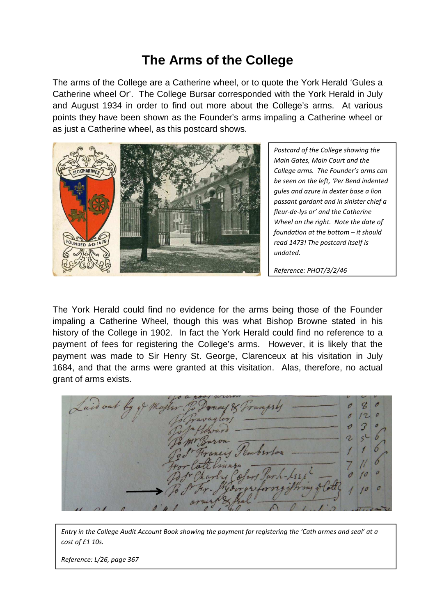## **The Arms of the College**

The arms of the College are a Catherine wheel, or to quote the York Herald 'Gules a Catherine wheel Or'. The College Bursar corresponded with the York Herald in July and August 1934 in order to find out more about the College's arms. At various points they have been shown as the Founder's arms impaling a Catherine wheel or as just a Catherine wheel, as this postcard shows.



*Postcard of the College showing the Main Gates, Main Court and the College arms. The Founder's arms can be seen on the left, 'Per Bend indented gules and azure in dexter base a lion passant gardant and in sinister chief a fleur-de-lys or' and the Catherine Wheel on the right. Note the date of foundation at the bottom – it should read 1473! The postcard itself is undated.* 

*Reference: PHOT/3/2/46*

The York Herald could find no evidence for the arms being those of the Founder impaling a Catherine Wheel, though this was what Bishop Browne stated in his history of the College in 1902. In fact the York Herald could find no reference to a payment of fees for registering the College's arms. However, it is likely that the payment was made to Sir Henry St. George, Clarenceux at his visitation in July 1684, and that the arms were granted at this visitation. Alas, therefore, no actual grant of arms exists.

*Entry in the College Audit Account Book showing the payment for registering the 'Cath armes and seal' at a cost of £1 10s.* 

*Reference: L/26, page 367*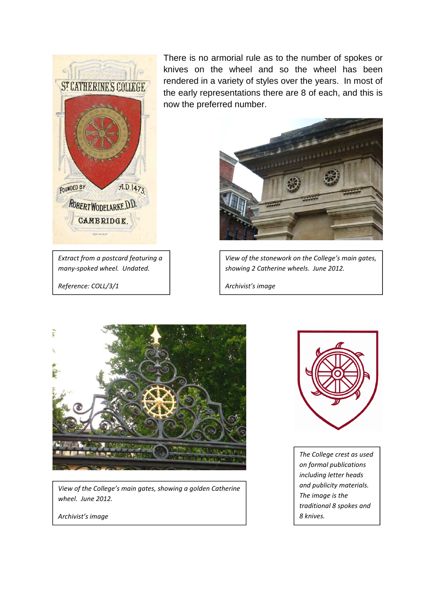

*Extract from a postcard featuring a many-spoked wheel. Undated. Reference: COLL/3/1* 

There is no armorial rule as to the number of spokes or knives on the wheel and so the wheel has been rendered in a variety of styles over the years. In most of the early representations there are 8 of each, and this is now the preferred number.



*View of the stonework on the College's main gates, showing 2 Catherine wheels. June 2012.* 

*Archivist's image* 



*View of the College's main gates, showing a golden Catherine wheel. June 2012.* 

*Archivist's image* 



*The College crest as used on formal publications including letter heads and publicity materials. The image is the traditional 8 spokes and 8 knives.*